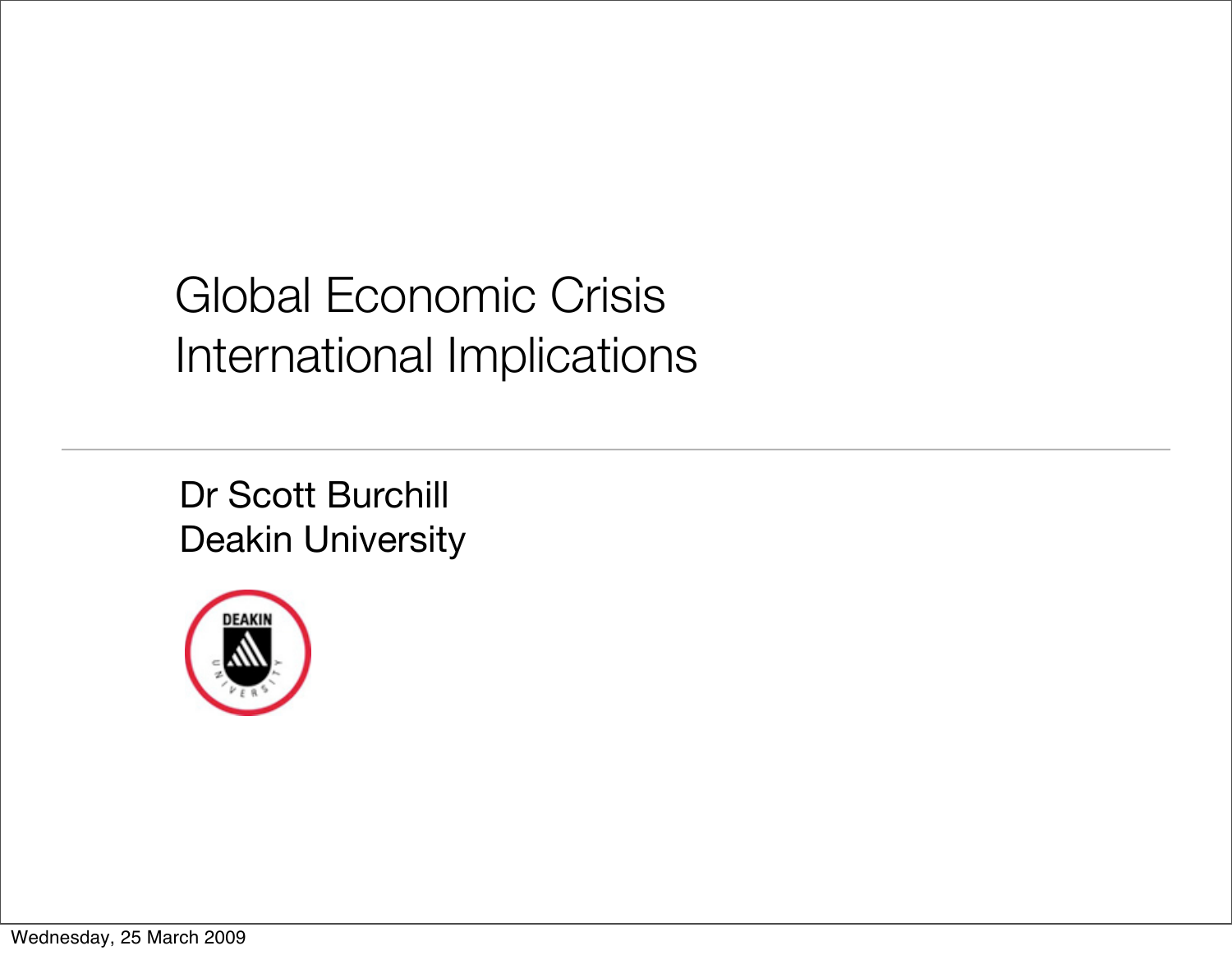# Global Economic Crisis International Implications

Dr Scott Burchill Deakin University



Wednesday, 25 March 2009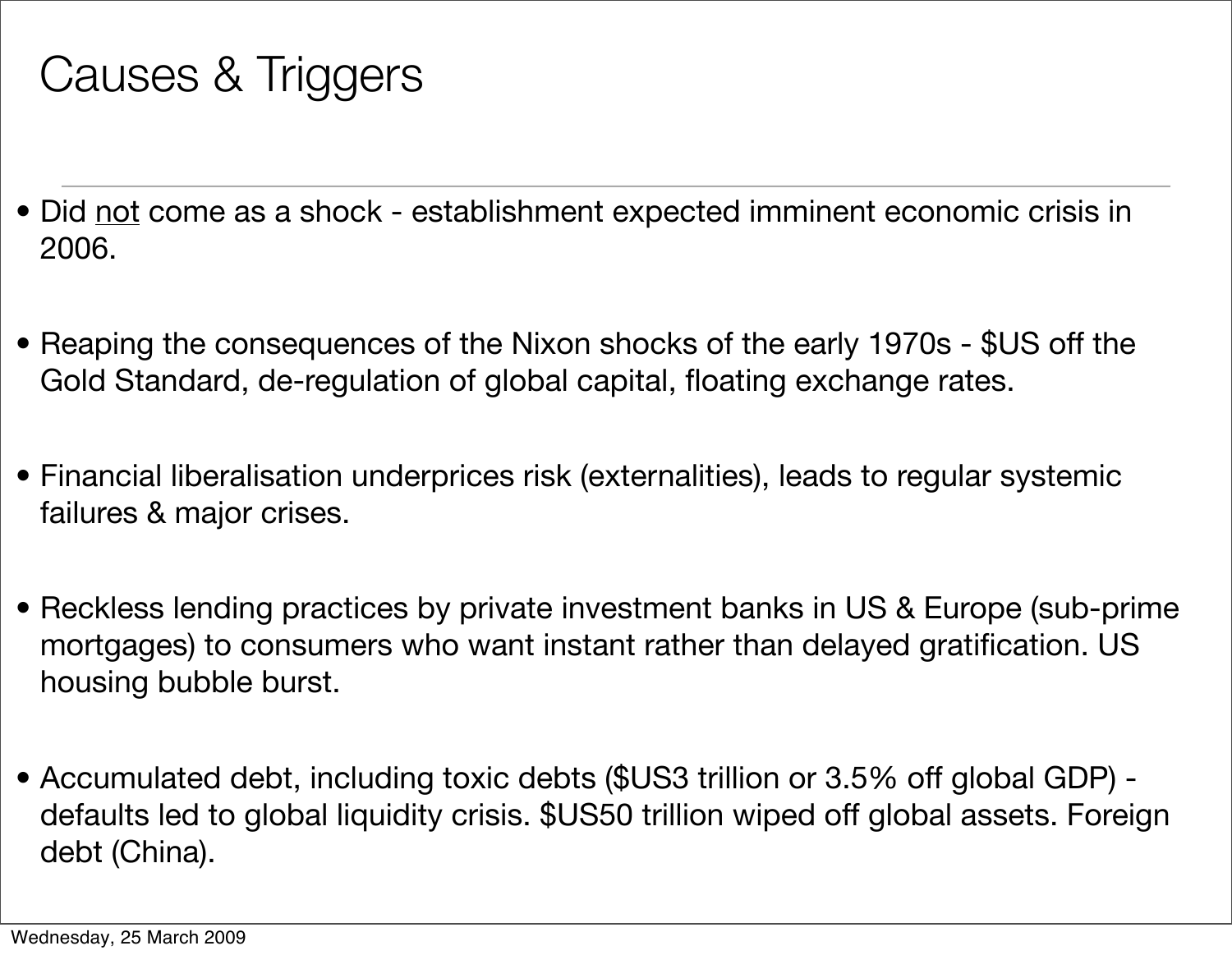## Causes & Triggers

- Did not come as a shock establishment expected imminent economic crisis in 2006.
- Reaping the consequences of the Nixon shocks of the early 1970s \$US off the Gold Standard, de-regulation of global capital, floating exchange rates.
- Financial liberalisation underprices risk (externalities), leads to regular systemic failures & major crises.
- Reckless lending practices by private investment banks in US & Europe (sub-prime mortgages) to consumers who want instant rather than delayed gratification. US housing bubble burst.
- Accumulated debt, including toxic debts (\$US3 trillion or 3.5% off global GDP) defaults led to global liquidity crisis. \$US50 trillion wiped off global assets. Foreign debt (China).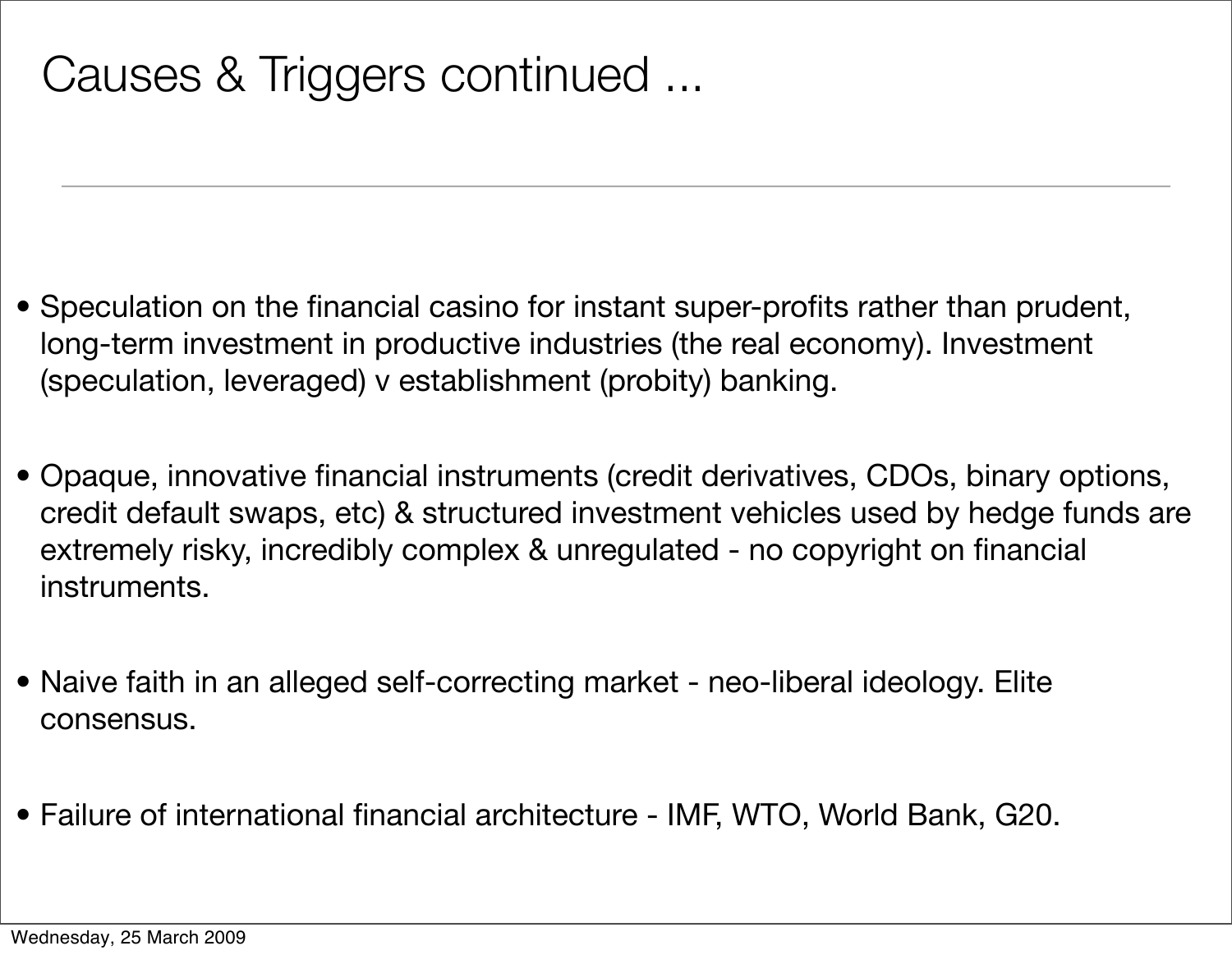- Speculation on the financial casino for instant super-profits rather than prudent, long-term investment in productive industries (the real economy). Investment (speculation, leveraged) v establishment (probity) banking.
- Opaque, innovative financial instruments (credit derivatives, CDOs, binary options, credit default swaps, etc) & structured investment vehicles used by hedge funds are extremely risky, incredibly complex & unregulated - no copyright on financial instruments.
- Naive faith in an alleged self-correcting market neo-liberal ideology. Elite consensus.
- Failure of international financial architecture IMF, WTO, World Bank, G20.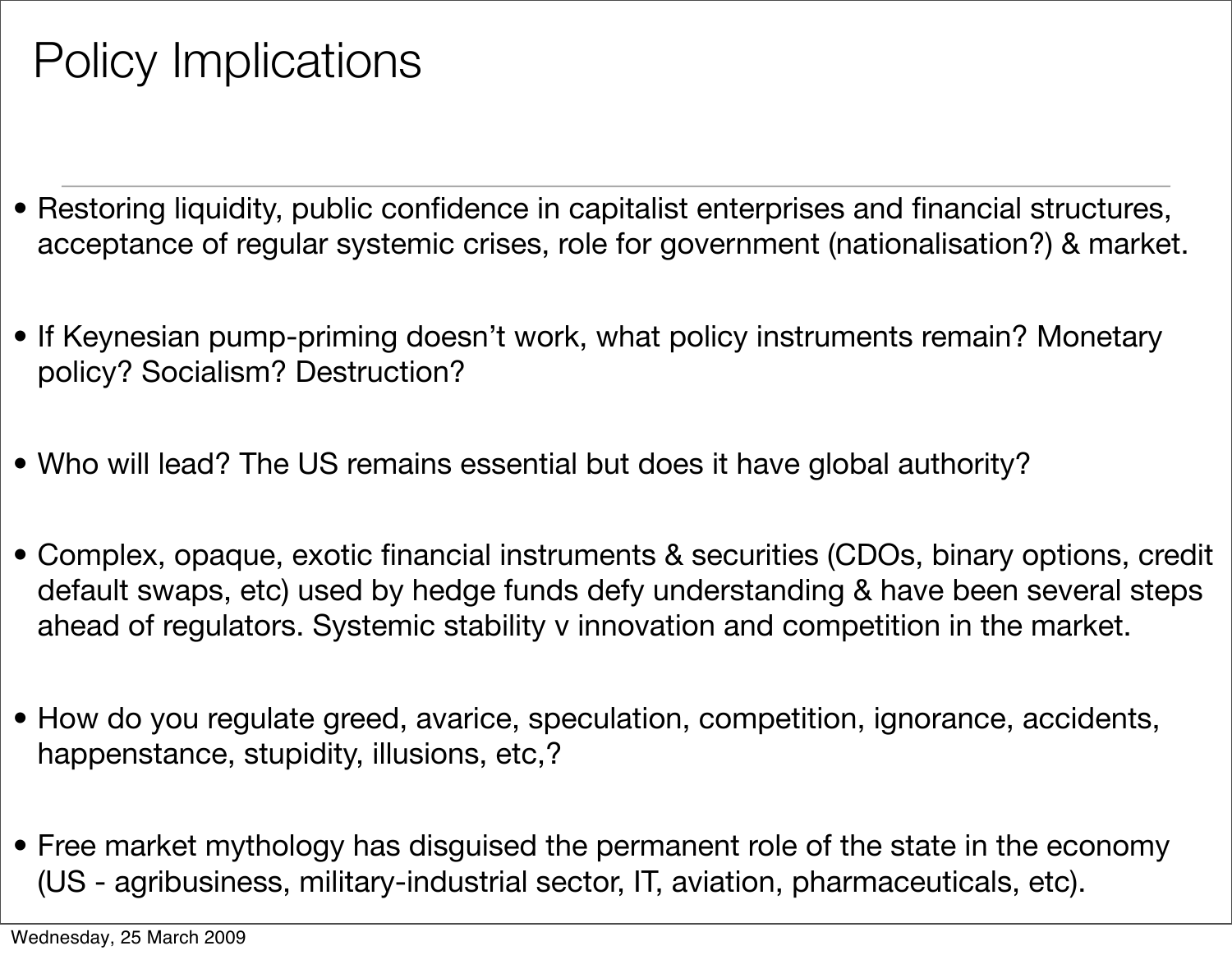## Policy Implications

- Restoring liquidity, public confidence in capitalist enterprises and financial structures, acceptance of regular systemic crises, role for government (nationalisation?) & market.
- If Keynesian pump-priming doesn't work, what policy instruments remain? Monetary policy? Socialism? Destruction?
- Who will lead? The US remains essential but does it have global authority?
- Complex, opaque, exotic financial instruments & securities (CDOs, binary options, credit default swaps, etc) used by hedge funds defy understanding & have been several steps ahead of regulators. Systemic stability v innovation and competition in the market.
- How do you regulate greed, avarice, speculation, competition, ignorance, accidents, happenstance, stupidity, illusions, etc,?
- Free market mythology has disguised the permanent role of the state in the economy (US - agribusiness, military-industrial sector, IT, aviation, pharmaceuticals, etc).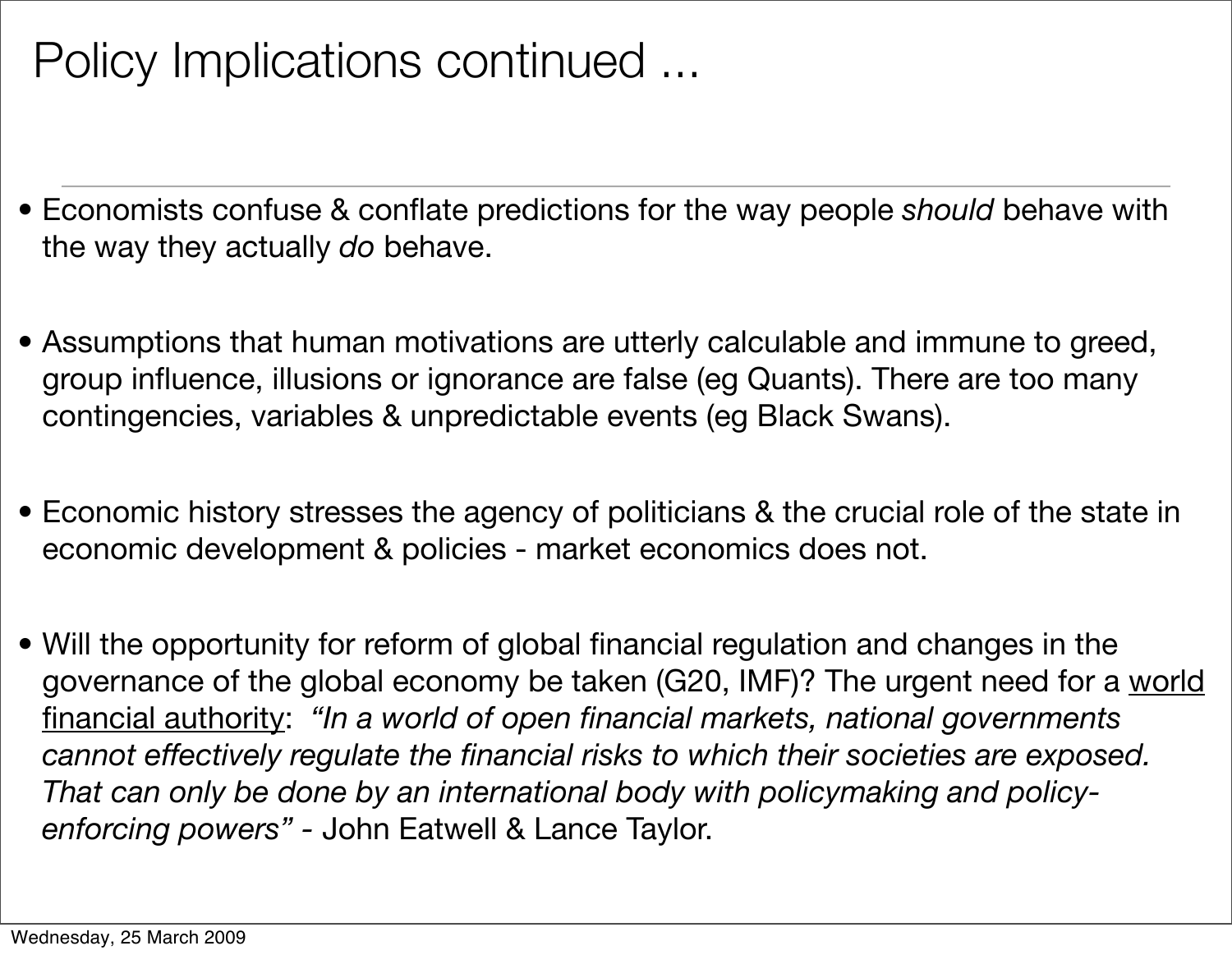## Policy Implications continued ...

- Economists confuse & conflate predictions for the way people *should* behave with the way they actually *do* behave.
- Assumptions that human motivations are utterly calculable and immune to greed, group influence, illusions or ignorance are false (eg Quants). There are too many contingencies, variables & unpredictable events (eg Black Swans).
- Economic history stresses the agency of politicians & the crucial role of the state in economic development & policies - market economics does not.
- Will the opportunity for reform of global financial regulation and changes in the governance of the global economy be taken (G20, IMF)? The urgent need for a world financial authority: *"In a world of open financial markets, national governments cannot effectively regulate the financial risks to which their societies are exposed. That can only be done by an international body with policymaking and policyenforcing powers" -* John Eatwell & Lance Taylor.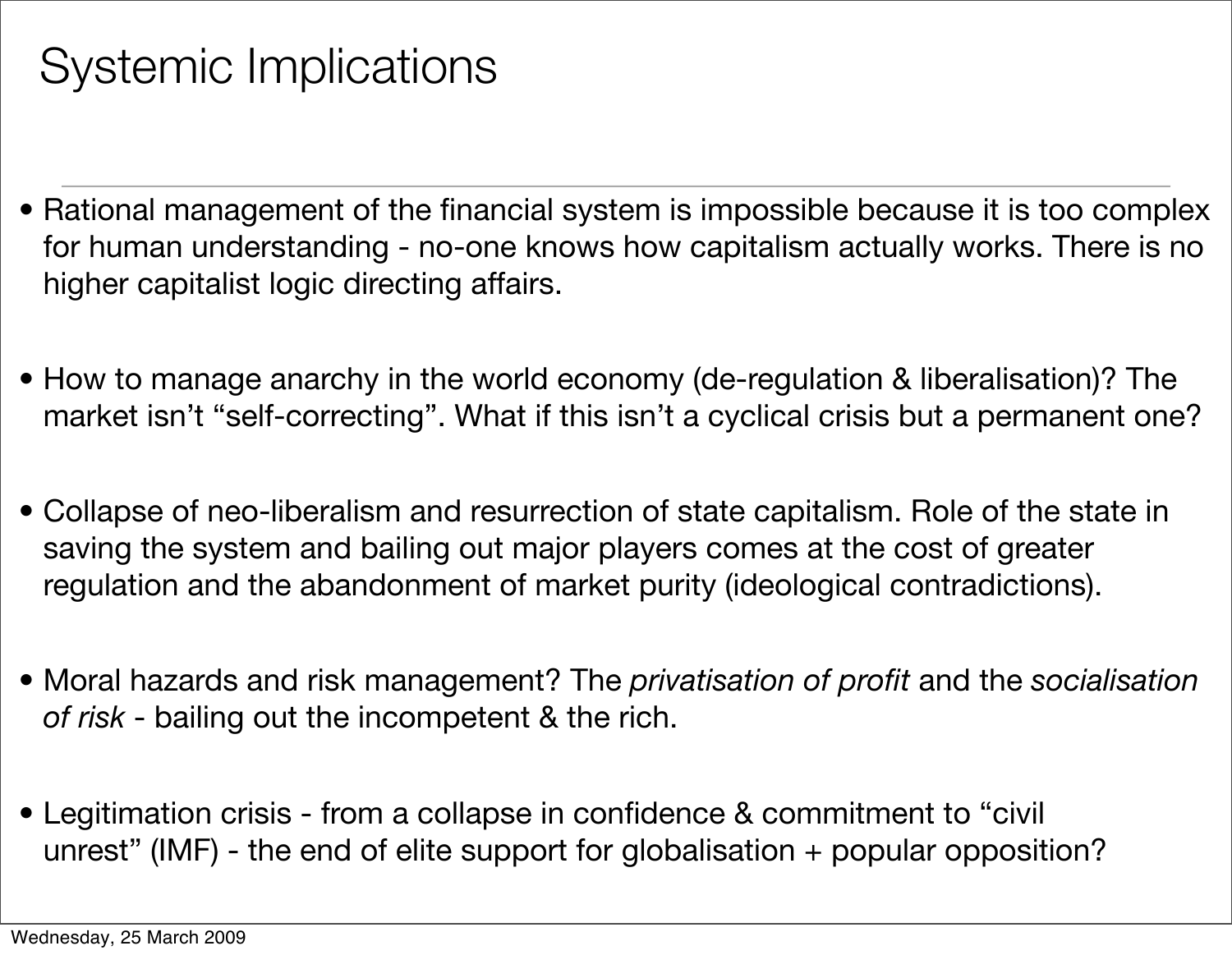## Systemic Implications

- Rational management of the financial system is impossible because it is too complex for human understanding - no-one knows how capitalism actually works. There is no higher capitalist logic directing affairs.
- How to manage anarchy in the world economy (de-regulation & liberalisation)? The market isn't "self-correcting". What if this isn't a cyclical crisis but a permanent one?
- Collapse of neo-liberalism and resurrection of state capitalism. Role of the state in saving the system and bailing out major players comes at the cost of greater regulation and the abandonment of market purity (ideological contradictions).
- Moral hazards and risk management? The *privatisation of profit* and the *socialisation of risk* - bailing out the incompetent & the rich.
- Legitimation crisis from a collapse in confidence & commitment to "civil unrest" (IMF) - the end of elite support for globalisation + popular opposition?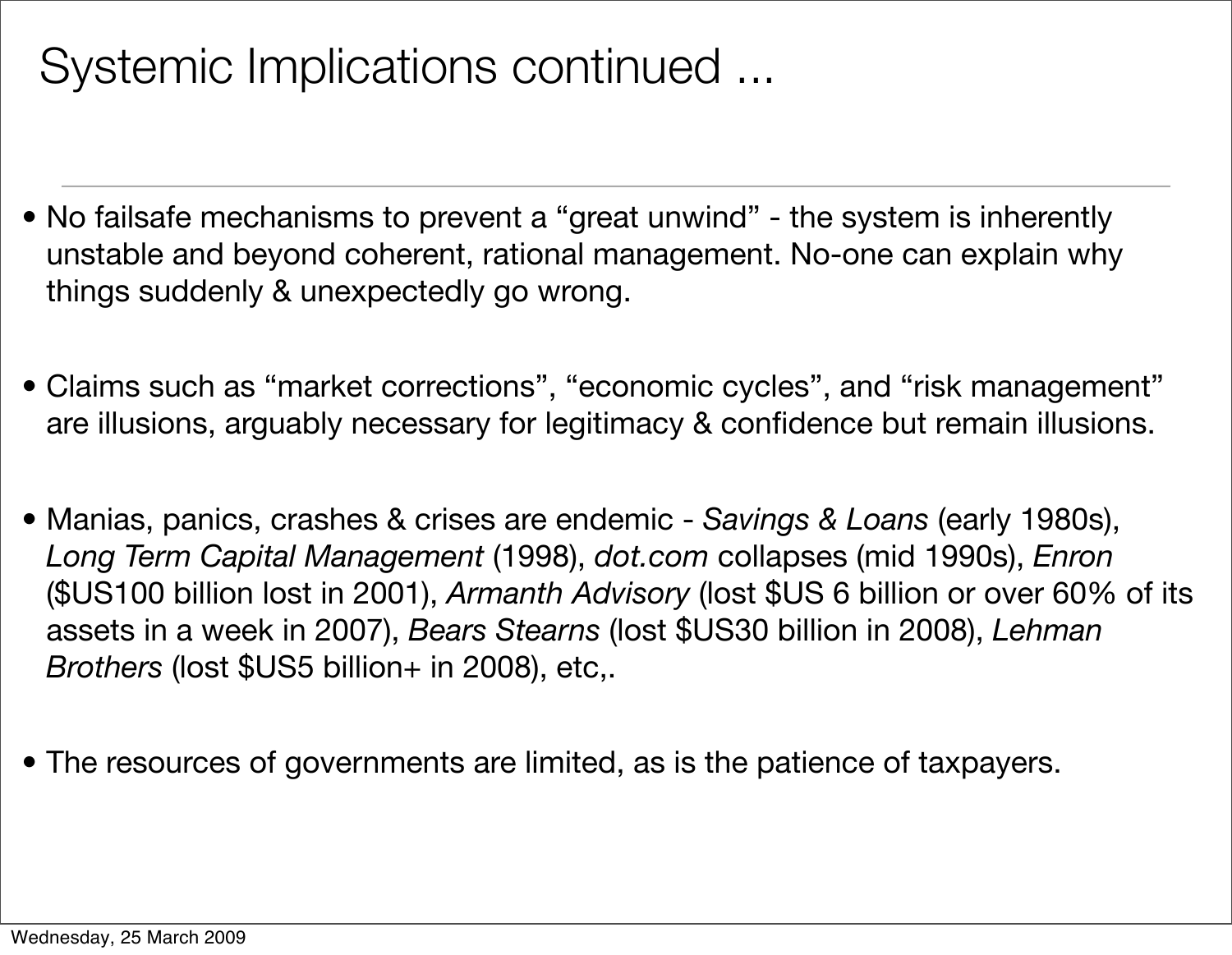#### Systemic Implications continued ...

- No failsafe mechanisms to prevent a "great unwind" the system is inherently unstable and beyond coherent, rational management. No-one can explain why things suddenly & unexpectedly go wrong.
- Claims such as "market corrections", "economic cycles", and "risk management" are illusions, arguably necessary for legitimacy & confidence but remain illusions.
- Manias, panics, crashes & crises are endemic *Savings & Loans* (early 1980s), *Long Term Capital Management* (1998), *dot.com* collapses (mid 1990s), *Enron* (\$US100 billion lost in 2001), *Armanth Advisory* (lost \$US 6 billion or over 60% of its assets in a week in 2007), *Bears Stearns* (lost \$US30 billion in 2008), *Lehman Brothers* (lost \$US5 billion+ in 2008), etc,.
- The resources of governments are limited, as is the patience of taxpayers.